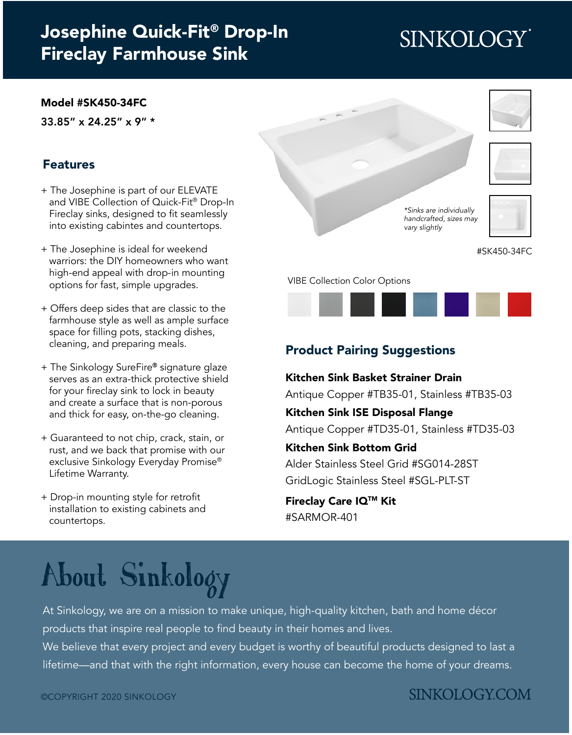## [Josephine Quick-Fit® Drop-In](https://www.sinkology.com/kitchen-sink/josephine-quick-fit-drop-in-fireclay-farmhouse-kitchen-sink/) Fireclay Farmhouse Sink

# **SINKOLOGY**

#### [Model #SK450-34FC](https://www.sinkology.com/kitchen-sink/josephine-quick-fit-drop-in-fireclay-farmhouse-kitchen-sink/)

33.85" x 24.25" x 9" \*

#### Features

- + The Josephine is part of our ELEVATE and VIBE Collection of Quick-Fit® Drop-In Fireclay sinks, designed to fit seamlessly into existing cabintes and countertops.
- + The Josephine is ideal for weekend warriors: the DIY homeowners who want high-end appeal with drop-in mounting options for fast, simple upgrades.
- + Offers deep sides that are classic to the farmhouse style as well as ample surface space for filling pots, stacking dishes, cleaning, and preparing meals.
- + The Sinkology SureFire® signature glaze serves as an extra-thick protective shield for your fireclay sink to lock in beauty and create a surface that is non-porous and thick for easy, on-the-go cleaning.
- + Guaranteed to not chip, crack, stain, or rust, and we back that promise with our exclusive Sinkology Everyday Promise® Lifetime Warranty.
- + Drop-in mounting style for retrofit installation to existing cabinets and countertops.



*\*Sinks are individually [handcrafted, sizes may](https://www.sinkology.com/kitchen-sink/josephine-quick-fit-drop-in-fireclay-farmhouse-kitchen-sink/)  vary slightly*





VIBE Collection Color Options



#### Product Pairing Suggestions

Kitchen Sink Basket Strainer Drain [Antique Copper #TB35-01,](https://www.sinkology.com/kitchen-accessory/kitchen-basket-strainer-drain/) [Stainless #TB35-03](https://www.sinkology.com/kitchen-accessory/kitchen-sink-basket-strainer-drain-nickel/)

Kitchen Sink ISE Disposal Flange [Antique Copper #TD35-01](https://www.sinkology.com/kitchen-accessory/kitchen-ise-disposal-flange-drain/), [Stainless #TD35-03](https://www.sinkology.com/kitchen-accessory/kitchen-sink-ise-disposal-flange-nickel/)

Kitchen Sink Bottom Grid

[Alder Stainless Steel Grid #SG014-28ST](https://www.sinkology.com/kitchen-accessory/alder-stainless-steel-kitchen-sink-bottom-grid/) [GridLogic Stainless Steel #SGL-PLT-ST](https://www.sinkology.com/kitchen-accessory/gridlogic-bottom-grid-kitchen-sink-organizer-stainless-steel/)

Fireclay Care IQTM Kit [#SARMOR-401](https://www.sinkology.com/kitchen-accessory/fireclay-careiq-kit/)

# [About Sinkology](https://www.sinkology.com/about-sinkology/)

At Sinkology, we are on a mission to make unique, high-quality kitchen, bath and home décor products that inspire real people to find beauty in their homes and lives.

We believe that every project and every budget is worthy of beautiful products designed to last a lifetime—and that with the right information, every house can become the home of your dreams.

### **SINKOLOGY.COM**